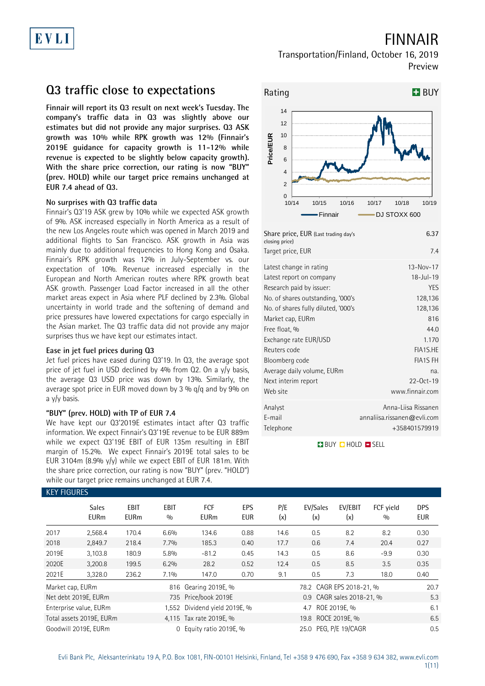# FINNAIR

## Transportation/Finland, October 16, 2019 Preview

# **Q3 traffic close to expectations**

**Finnair will report its Q3 result on next week's Tuesday. The company's traffic data in Q3 was slightly above our estimates but did not provide any major surprises. Q3 ASK growth was 10% while RPK growth was 12% (Finnair's 2019E guidance for capacity growth is 11-12% while revenue is expected to be slightly below capacity growth). With the share price correction, our rating is now "BUY" (prev. HOLD) while our target price remains unchanged at EUR 7.4 ahead of Q3.** 

### **No surprises with Q3 traffic data**

Finnair's Q3'19 ASK grew by 10% while we expected ASK growth of 9%. ASK increased especially in North America as a result of the new Los Angeles route which was opened in March 2019 and additional flights to San Francisco. ASK growth in Asia was mainly due to additional frequencies to Hong Kong and Osaka. Finnair's RPK growth was 12% in July-September vs. our expectation of 10%. Revenue increased especially in the European and North American routes where RPK growth beat ASK growth. Passenger Load Factor increased in all the other market areas expect in Asia where PLF declined by 2.3%. Global uncertainty in world trade and the softening of demand and price pressures have lowered expectations for cargo especially in the Asian market. The Q3 traffic data did not provide any major surprises thus we have kept our estimates intact.

### **Ease in jet fuel prices during Q3**

Jet fuel prices have eased during Q3'19. In Q3, the average spot price of jet fuel in USD declined by 4% from Q2. On a y/y basis, the average Q3 USD price was down by 13%. Similarly, the average spot price in EUR moved down by 3 %  $q/q$  and by 9% on a y/y basis.

### **"BUY" (prev. HOLD) with TP of EUR 7.4**

We have kept our Q3'2019E estimates intact after Q3 traffic information. We expect Finnair's Q3'19E revenue to be EUR 889m while we expect Q3'19E EBIT of EUR 135m resulting in EBIT margin of 15.2%. We expect Finnair's 2019E total sales to be EUR 3104m (8.9% y/y) while we expect EBIT of EUR 181m. With the share price correction, our rating is now "BUY" (prev. "HOLD") while our target price remains unchanged at EUR 7.4.



| Share price, EUR (Last trading day's<br>closing price) | 6.37                        |
|--------------------------------------------------------|-----------------------------|
| Target price, EUR                                      | 7.4                         |
| Latest change in rating                                | $13 - Nov - 17$             |
| Latest report on company                               | $18 - J$ ul-19              |
| Research paid by issuer:                               | <b>YES</b>                  |
| No. of shares outstanding, '000's                      | 128,136                     |
| No. of shares fully diluted, '000's                    | 128,136                     |
| Market cap, EURm                                       | 816                         |
| Free float, %                                          | 44.0                        |
| Exchange rate EUR/USD                                  | 1.170                       |
| Reuters code                                           | FIA1S.HE                    |
| Bloomberg code                                         | <b>FIA1S FH</b>             |
| Average daily volume, EURm                             | na.                         |
| Next interim report                                    | $22-0ct-19$                 |
| Web site                                               | www.finnair.com             |
| Analyst                                                | Anna-Liisa Rissanen         |
| E-mail                                                 | annaliisa.rissanen@evli.com |
| Telephone                                              | +358401579919               |

**BUY CHOLD ESELL** 

|                  | <b>KEY FIGURES</b>          |                     |                    |                               |                   |            |                          |                           |                  |                          |  |  |
|------------------|-----------------------------|---------------------|--------------------|-------------------------------|-------------------|------------|--------------------------|---------------------------|------------------|--------------------------|--|--|
|                  | <b>Sales</b><br><b>EURm</b> | EBIT<br><b>EURm</b> | <b>EBIT</b><br>0/0 | FCF<br><b>EURm</b>            | EPS<br><b>EUR</b> | P/E<br>(x) | EV/Sales<br>(x)          | EV/EBIT<br>(x)            | FCF yield<br>0/0 | <b>DPS</b><br><b>EUR</b> |  |  |
| 2017             | 2,568.4                     | 170.4               | 6.6%               | 134.6                         | 0.88              | 14.6       | 0.5                      | 8.2                       | 8.2              | 0.30                     |  |  |
| 2018             | 2,849.7                     | 218.4               | 7.7%               | 185.3                         | 0.40              | 17.7       | 0.6                      | 7.4                       | 20.4             | 0.27                     |  |  |
| 2019E            | 3,103.8                     | 180.9               | 5.8%               | $-81.2$                       | 0.45              | 14.3       | 0.5                      | 8.6                       | $-9.9$           | 0.30                     |  |  |
| 2020E            | 3,200.8                     | 199.5               | 6.2%               | 28.2                          | 0.52              | 12.4       | 0.5                      | 8.5                       | 3.5              | 0.35                     |  |  |
| 2021E            | 3,328.0                     | 236.2               | 7.1%               | 147.0                         | 0.70              | 9.1        | 0.5                      | 7.3                       | 18.0             | 0.40                     |  |  |
| Market cap, EURm |                             |                     |                    | 816 Gearing 2019E, %          |                   |            | 78.2 CAGR EPS 2018-21, % | 20.7                      |                  |                          |  |  |
|                  | Net debt 2019E, EURm        |                     |                    | 735 Price/book 2019E          |                   |            |                          | 0.9 CAGR sales 2018-21, % |                  | 5.3                      |  |  |
|                  | Enterprise value, EURm      |                     |                    | 1,552 Dividend yield 2019E, % |                   |            | 4.7 ROE 2019E, %         |                           |                  | 6.1                      |  |  |
|                  | Total assets 2019E, EURm    |                     |                    | 4.115 Tax rate 2019E, %       |                   |            |                          | 6.5                       |                  |                          |  |  |
|                  | Goodwill 2019E, EURm        |                     |                    | 0 Equity ratio 2019E, %       |                   |            | 0.5                      |                           |                  |                          |  |  |

# Evli Bank Plc, Aleksanterinkatu 19 A, P.O. Box 1081, FIN-00101 Helsinki, Finland, Tel +358 9 476 690, Fax +358 9 634 382, [www.evli.com](http://www.evli.com/)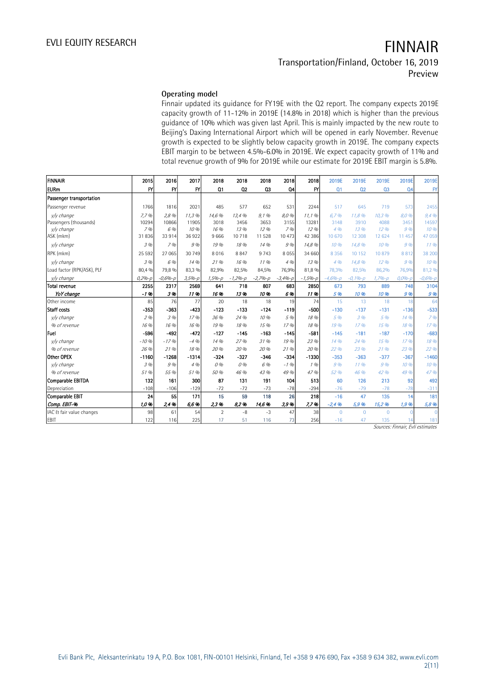## **Operating model**

Finnair updated its guidance for FY19E with the Q2 report. The company expects 2019E capacity growth of 11-12% in 2019E (14.8% in 2018) which is higher than the previous guidance of 10% which was given last April. This is mainly impacted by the new route to Beijing's Daxing International Airport which will be opened in early November. Revenue growth is expected to be slightly below capacity growth in 2019E. The company expects EBIT margin to be between 4.5%-6.0% in 2019E. We expect capacity growth of 11% and total revenue growth of 9% for 2019E while our estimate for 2019E EBIT margin is 5.8%.

| <b>FINNAIR</b>             | 2015          | 2016         | 2017         | 2018           | 2018        | 2018        | 2018        | 2018        | 2019E          | 2019E       | 2019E          | 2019E          | 2019E         |
|----------------------------|---------------|--------------|--------------|----------------|-------------|-------------|-------------|-------------|----------------|-------------|----------------|----------------|---------------|
| <b>EURm</b>                | $\mathsf{F}'$ | $\mathsf{f}$ | $\mathsf{P}$ | Q <sub>1</sub> | Q2          | Q3          | Q4          | FY          | Q1             | Q2          | Q <sub>3</sub> | Q <sub>4</sub> | $\mathsf{FY}$ |
| Passenger transportation   |               |              |              |                |             |             |             |             |                |             |                |                |               |
| Passenger revenue          | 1766          | 1816         | 2021         | 485            | 577         | 652         | 531         | 2244        | 517            | 645         | 719            | 573            | 2455          |
| v/y change                 | 7.7%          | 2,8 %        | 11,3 %       | 14,6 %         | 13,4 %      | 9,1%        | 8,0 %       | 11.1%       | 6.7%           | 11,8 %      | 10,3 %         | 8,0 %          | 9,4%          |
| Passengers (thousands)     | 10294         | 10866        | 11905        | 3018           | 3456        | 3653        | 3155        | 13281       | 3148           | 3910        | 4088           | 3451           | 14597         |
| v/y change                 | 7%            | 6 %          | 10 %         | 16 %           | 13 %        | 12%         | 7%          | 12 %        | 4.96           | 13 %        | 12.96          | 9%             | 10 %          |
| ASK (mkm)                  | 31836         | 33 914       | 36922        | 9666           | 10718       | 11 528      | 10 473      | 42 38 6     | 10 670         | 12 308      | 12 624         | 11 457         | 47 059        |
| y/y change                 | 3 %           | 7%           | 9 %          | 19 %           | 18 %        | 14 %        | 9%          | 14,8 %      | 10.96          | 14,8 %      | 10%            | 9%             | 11.96         |
| RPK (mkm)                  | 25 5 92       | 27 065       | 30 749       | 8016           | 8847        | 9 7 4 3     | 8055        | 34 660      | 8 3 5 6        | 10 152      | 10879          | 8812           | 38 200        |
| v/v change                 | 3 %           | 6 %          | 14 %         | 21%            | 16 %        | 11%         | 4.96        | 13 %        | 4.96           | 14,8 %      | 12%            | 9%             | 10 %          |
| Load factor (RPK/ASK), PLF | 80,4 %        | 79,8 %       | 83,3 %       | 82,9%          | 82,5%       | 84,5%       | 76,9%       | 81,8%       | 78,3%          | 82,5%       | 86,2%          | 76,9%          | 81,2 %        |
| y/y change                 | $0,2% - p$    | $-0.6% - p$  | $3,5% - p$   | $1,5% - p$     | $-1,2% - p$ | $-2,7% - p$ | $-3,4% - p$ | $-1,5% - p$ | $-4.6% - D$    | $-0.1% - p$ | $1,7% - p$     | $0,0% - p$     | $-0.6% - p$   |
| <b>Total revenue</b>       | 2255          | 2317         | 2569         | 641            | 718         | 807         | 683         | 2850        | 673            | 793         | 889            | 748            | 3104          |
| YoY change                 | $-1.96$       | 3%           | 11%          | 16%            | 13%         | 10%         | 6%          | 11%         | 5 %            | 10 %        | 10 %           | 9%             | 9%            |
| Other income               | 85            | 76           | 77           | 20             | 18          | 18          | 19          | 74          | 15             | 13          | 18             | 18             | 64            |
| Staff costs                | $-353$        | $-363$       | $-423$       | $-123$         | $-133$      | $-124$      | $-119$      | $-500$      | $-130$         | $-137$      | $-131$         | $-136$         | $-533$        |
| v/v change                 | 2,0/0         | 3 %          | 17%          | 36 %           | 24 %        | 10 %        | 5 %         | 18 %        | 5 %            | 3%          | 5 %            | 14%            | 7%            |
| % of revenue               | 16 %          | 16 %         | 16 %         | 19 %           | 18 %        | 15 %        | 17%         | 18 %        | 19%            | 17.96       | 15 %           | 18 %           | 17.96         |
| Fuel                       | -596          | $-492$       | $-472$       | $-127$         | $-145$      | $-163$      | $-145$      | $-581$      | $-145$         | $-181$      | $-187$         | $-170$         | $-683$        |
| v/v change                 | $-10%$        | $-17.96$     | $-4.96$      | 14 %           | 27 %        | 31 %        | 19 %        | 23 %        | 14 %           | 24 %        | 15 %           | 17.96          | 18 %          |
| % of revenue               | 26 %          | 21%          | 18 %         | 20 %           | 20 %        | 20 %        | 21%         | 20 %        | 22 %           | 23 %        | 21%            | 23 %           | 22 %          |
| Other OPEX                 | $-1160$       | $-1268$      | $-1314$      | $-324$         | $-327$      | $-346$      | $-334$      | $-1330$     | $-353$         | $-363$      | $-377$         | $-367$         | $-1460$       |
| v/v change                 | 3 %           | 9%           | 4%           | 0%             | 0 %         | 6 %         | $-1.96$     | 1%          | 9%             | 1196        | 9%             | 10.96          | 10.96         |
| % of revenue               | 51 %          | 55 %         | 51 %         | 50 %           | 46 %        | 43 %        | 49 %        | 47 %        | 52 %           | 46 %        | 42 %           | 49 %           | 47 %          |
| Comparable EBITDA          | 132           | 161          | 300          | 87             | 131         | 191         | 104         | 513         | 60             | 126         | 213            | 92             | 492           |
| Depreciation               | $-108$        | $-106$       | $-129$       | $-72$          | $-72$       | $-73$       | $-78$       | $-294$      | $-76$          | $-79$       | $-78$          | $-78$          | $-311$        |
| Comparable EBIT            | 24            | 55           | 171          | 15             | 59          | 118         | 26          | 218         | $-16$          | 47          | 135            | 14             | 181           |
| Comp. EBIT-%               | 1,0%          | 2.4%         | 6,6%         | 2,3%           | 8,2%        | 14,6%       | 3.9%        | 7.7%        | $-2,4%$        | 5,9 %       | 15,296         | 1,9,96         | 5,8 %         |
| IAC & fair value changes   | 98            | 61           | 54           | $\overline{2}$ | $-8$        | $-3$        | 47          | 38          | $\overline{0}$ | $\Omega$    | $\Omega$       |                |               |
| EBIT                       | 122           | 116          | 225          | 17             | 51          | 116         | 73          | 256         | $-16$          | 47          | 135            |                | 181           |

Sources: Finnair, Evli estimates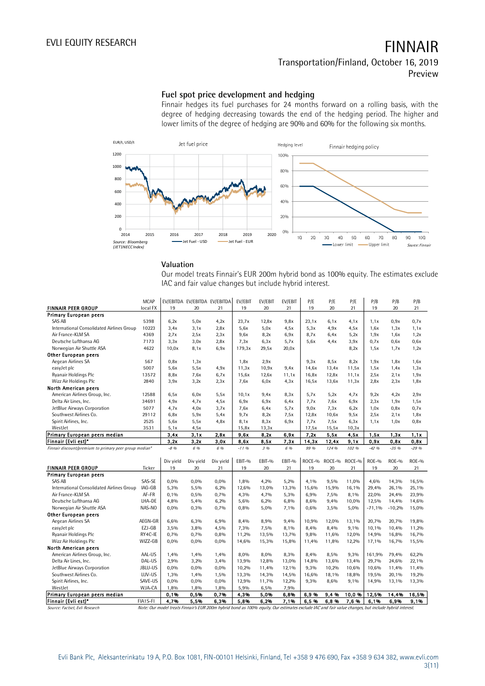## **Fuel spot price development and hedging**

Finnair hedges its fuel purchases for 24 months forward on a rolling basis, with the degree of hedging decreasing towards the end of the hedging period. The higher and lower limits of the degree of hedging are 90% and 60% for the following six months.



## **Valuation**

Our model treats Finnair's EUR 200m hybrid bond as 100% equity. The estimates exclude IAC and fair value changes but include hybrid interest.

|                                                        | <b>MCAP</b> |                 | EV/EBITDA EV/EBITDA EV/EBITDA |                 | EV/EBIT      | EV/EBIT      | EV/EBIT      | P/E          | P/E          | P/E          | P/B           | P/B                | P/B                |
|--------------------------------------------------------|-------------|-----------------|-------------------------------|-----------------|--------------|--------------|--------------|--------------|--------------|--------------|---------------|--------------------|--------------------|
| <b>FINNAIR PEER GROUP</b>                              | local FX    | 19              | 20                            | 21              | 19           | 20           | 21           | 19           | 20           | 21           | 19            | 20                 | 21                 |
| <b>Primary European peers</b>                          |             |                 |                               |                 |              |              |              |              |              |              |               |                    |                    |
| SAS AB                                                 | 5398        | 6,2x            | 5.0x                          | 4,2x            | 23,7x        | 12,8x        | 9,8x         | 23,1x        | 6.1x         | 4.1x         | 1,1x          | 0.9x               | 0.7x               |
| International Consolidated Airlines Group              | 10223       | 3.4x            | 3.1x                          | 2,8x            | 5.6x         | 5.0x         | 4,5x         | 5,3x         | 4.9x         | 4,5x         | 1,6x          | 1,3x               | 1,1x               |
| Air France-KLM SA                                      | 4369        | 2.7x            | 2,5x                          | 2.3x            | 9,6x         | 8,2x         | 6,9x         | 8,7x         | 6.4x         | 5,2x         | 1,9x          | 1,6x               | 1,2x               |
| Deutsche Lufthansa AG                                  | 7173        | 3,3x            | 3,0x                          | 2,8x            | 7.3x         | 6,3x         | 5,7x         | 5.6x         | 4.4x         | 3.9x         | 0.7x          | 0,6x               | 0,6x               |
| Norwegian Air Shuttle ASA                              | 4622        | 10,0x           | 8,1x                          | 6.9x            | 179,3x       | 29,5x        | 20,0x        |              |              | 8,2x         | 1,5x          | 1,7x               | 1,2x               |
| Other European peers                                   |             |                 |                               |                 |              |              |              |              |              |              |               |                    |                    |
| Aegean Airlines SA                                     | 567         | 0.8x            | 1,3x                          |                 | 1,8x         | 2.9x         |              | 9,3x         | 8,5x         | 8,2x         | 1,9x          | 1,8x               | 1,6x               |
| easyJet plc                                            | 5007        | 5,6x            | 5,5x                          | 4.9x            | 11,3x        | 10,9x        | 9,4x         | 14,6x        | 13,4x        | 11,5x        | 1,5x          | 1.4x               | 1,3x               |
| Ryanair Holdings Plc                                   | 13572       | 8,8x            | 7.6x                          | 6,7x            | 15,6x        | 12,6x        | 11,1x        | 16,8x        | 12,8x        | 11,1x        | 2,5x          | 2.1x               | 1,9x               |
| Wizz Air Holdings Plc                                  | 2840        | 3.9x            | 3,2x                          | 2.3x            | 7.6x         | 6,0x         | 4.3x         | 16,5x        | 13,6x        | 11,3x        | 2,8x          | 2.3x               | 1,8x               |
| North American peers                                   |             |                 |                               |                 |              |              |              |              |              |              |               |                    |                    |
| American Airlines Group, Inc.                          | 12588       | 6,5x            | 6,0x                          | 5,5x            | 10,1x        | 9,4x         | 8,3x         | 5,7x         | 5,2x         | 4,7x         | 9,2x          | 4,2x               | 2.9x               |
| Delta Air Lines, Inc.                                  | 34691       | 4.9x            | 4.7x                          | 4,5x            | 6.9x         | 6.9x         | 6,4x         | 7,7x         | 7.6x         | 6,9x         | 2,3x          | 1,9x               | 1,5x               |
| JetBlue Airways Corporation                            | 5077        | 4,7x            | 4,0x                          | 3,7x            | 7,6x         | 6,4x         | 5,7x         | 9,0x         | 7,3x         | 6,2x         | 1,0x          | 0,8x               | 0,7x               |
| Southwest Airlines Co.                                 | 29112       | 6,8x            | 5.9x                          | 5,4x            | 9,7x         | 8,2x         | 7,5x         | 12,8x        | 10,6x        | 9,5x         | 2.5x          | 2.1x               | 1,8x               |
| Spirit Airlines, Inc.                                  | 2525        | 5,6x            | 5,5x                          | 4.8x            | 8,1x         | 8,3x         | 6,9x         | 7,7x         | 7,5x         | 6,3x         | 1,1x          | 1,0x               | 0,8x               |
| WestJet                                                | 3531        | 5,1x            | 4,5x                          |                 | 15,8x        | 13,3x        |              | 17,5x        | 15,5x        | 10,3x        |               |                    |                    |
| Primary European peers median                          |             | 3,4x            | 3.1x                          | 2.8x            | 9.6x         | 8,2x         | 6,9x         | 7,2x         | 5,5x         | 4.5x         | 1.5x          | 1.3x               | 1,1x               |
| Finnair (Evli est)*                                    |             | 3,2x            | 3,2x                          | 3.0x            | 8,6x         | 8.5x         | 7,3x         | 14,3x        | 12,4x        | 9.1x         | 0.9x          | 0,8x               | 0,8x               |
| Finnair discount/premium to primary peer group median* |             | $-8,96$         | 6 %                           | 6 %             | $-1196$      | 3 %          | 6 %          | 99 %         | 124 %        | 102 %        | $-42.96$      | $-3596$            | $-29.96$           |
|                                                        |             |                 |                               |                 |              |              |              |              |              |              |               |                    |                    |
| FINNAIR PEER GROUP                                     | Ticker      | Div yield<br>19 | Div yield<br>20               | Div yield<br>21 | EBIT-%<br>19 | EBIT-%<br>20 | EBIT-%<br>21 | ROCE-%<br>19 | ROCE-%<br>20 | ROCE-%<br>21 | $ROE-9$<br>19 | <b>ROE-%</b><br>20 | <b>ROE-%</b><br>21 |
| <b>Primary European peers</b>                          |             |                 |                               |                 |              |              |              |              |              |              |               |                    |                    |
| SAS AB                                                 | SAS-SE      | 0,0%            | 0.0%                          | 0,0%            | 1,8%         | 4,2%         | 5,2%         | 4.1%         | 9,5%         | 11,0%        | 4,6%          | 14,3%              | 16,5%              |
| International Consolidated Airlines Group              | IAG-GB      | 5,3%            | 5,5%                          | 6,2%            | 12,6%        | 13,0%        | 13,3%        | 15,6%        | 15,9%        | 16,1%        | 29,4%         | 26,1%              | 25,1%              |
| Air France-KLM SA                                      | AF-FR       | 0,1%            | 0,5%                          | 0,7%            | 4,3%         | 4,7%         | 5,3%         | 6,9%         | 7,5%         | 8,1%         | 22,0%         | 24,4%              | 23,9%              |
| Deutsche Lufthansa AG                                  | LHA-DE      | 4,8%            | 5,4%                          | 6,2%            | 5,6%         | 6,2%         | 6,8%         | 8,6%         | 9,4%         | 10,0%        | 12,5%         | 14,4%              | 14,6%              |
| Norwegian Air Shuttle ASA                              | NAS-NO      | 0,0%            | 0,3%                          | 0,7%            | 0,8%         | 5,0%         | 7,1%         | 0,6%         | 3,5%         | 5,0%         | $-71,1%$      | $-10,2%$           | 15,0%              |
| Other European peers                                   |             |                 |                               |                 |              |              |              |              |              |              |               |                    |                    |
| Aegean Airlines SA                                     | AEGN-GR     | 6,6%            | 6,3%                          | 6,9%            | 8,4%         | 8,9%         | 9,4%         | 10,9%        | 12,0%        | 13,1%        | 20,7%         | 20,7%              | 19,8%              |
| easyJet plc                                            | EZJ-GB      | 3.5%            | 3,8%                          | 4,5%            | 7,3%         | 7,5%         | 8,1%         | 8,4%         | 8,4%         | 9.1%         | 10.1%         | 10,4%              | 11,2%              |
| Ryanair Holdings Plc                                   | RY4C-IE     | 0,7%            | 0,7%                          | 0,8%            | 11,2%        | 13,5%        | 13,7%        | 9.8%         | 11,6%        | 12,0%        | 14,9%         | 16,8%              | 16,7%              |
| Wizz Air Holdings Plc                                  | WIZZ-GB     | 0,0%            | 0,0%                          | 0,0%            | 14,6%        | 15,3%        | 15,8%        | 11,4%        | 11,8%        | 12,2%        | 17,1%         | 16,7%              | 15,5%              |
| North American peers                                   |             |                 |                               |                 |              |              |              |              |              |              |               |                    |                    |
| American Airlines Group, Inc.                          | AAL-US      | 1.4%            | 1,4%                          | 1.4%            | 8,0%         | 8,0%         | 8,3%         | 8,4%         | 8,5%         | 9,3%         | 161,9%        | 79,4%              | 62,2%              |
| Delta Air Lines, Inc.                                  | DAL-US      | 2,9%            | 3,2%                          | 3,4%            | 13,9%        | 12,8%        | 13,0%        | 14,8%        | 13,6%        | 13,4%        | 29,7%         | 24,6%              | 22,1%              |
| JetBlue Airways Corporation                            | JBLU-US     | 0,0%            | $0.0\%$                       | 0,0%            | 10,2%        | 11,4%        | 12,1%        | 9.3%         | 10,2%        | 10,6%        | 10.6%         | 11,4%              | 11,4%              |
| Southwest Airlines Co.                                 | LUV-US      | 1,3%            | 1,4%                          | 1,5%            | 13,3%        | 14,3%        | 14,5%        | 16,6%        | 18,1%        | 18,8%        | 19,5%         | 20,1%              | 19,2%              |
| Spirit Airlines, Inc.                                  | SAVE-US     | 0,0%            | 0,0%                          | 0,0%            | 12,9%        | 11,7%        | 12,2%        | 9,3%         | 8,6%         | 9,1%         | 14,9%         | 13,1%              | 13,3%              |
| WestJet                                                | WJA-CA      | 1,8%            | 1,8%                          | 1,8%            | 5,9%         | 6,5%         | 7,9%         |              |              |              |               |                    |                    |
| Primary European peers median                          |             | 0,1%            | 0.5%                          | 0,7%            | 4,3%         | 5,0%         | 6,8%         | 6.9%         | 9.4%         | 10,0%        | 12,5%         | 14,4%              | 16,5%              |
| Finnair (Evli est)*                                    | FIA1S-FI    | 4,7%            | 5.5%                          | 6,3%            | 5.8%         | 6,2%         | 7.1%         | 6,5%         | 6.8%         | 7.6%         | 6.1%          | 6,9%               | 9.1%               |

Source: Factset, Evli Research Note: Our model treats Finnair's EUR 200m hybrid bond as 100% equity. Our estimates exclude IAC and fair value changes, but include hybrid interest.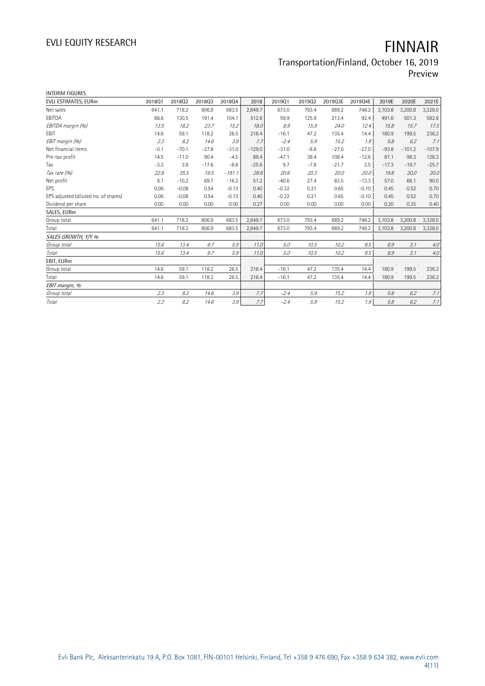# EVLI EQUITY RESEARCH **FINNAIR**

## Transportation/Finland, October 16, 2019 Preview

INTERIM FIGURES

| 2019Q4E<br>2021E<br>201801<br>201802<br>201803<br>201804<br>2018<br>201901<br>201902<br>2019Q3E<br>2019E<br>2020E<br>641.1<br>718.2<br>683.5<br>2.849.7<br>793.4<br>889.2<br>748.2<br>3,103.8<br>3,200.8<br>3,328.0<br>806.9<br>673.0<br>86.6<br>104.1<br>59.9<br>213.4<br>92.4<br>582.6<br>130.5<br>191.4<br>512.6<br>125.9<br>491.6<br>501.3<br>8.9<br>17.5<br>13.5<br>18.2<br>23.7<br>15.2<br>18.0<br>15.9<br>24.0<br>12.4<br>15.8<br>15.7<br>26.5<br>236.2<br>14.6<br>59.1<br>118.2<br>218.4<br>$-16.1$<br>47.2<br>135.4<br>180.9<br>14.4<br>199.5<br>2.3<br>8.2<br>3.9<br>$-2.4$<br>15.2<br>14.6<br>5.9<br>5.8<br>6.2<br>7.7<br>1.9<br>$-70.1$<br>$-31.0$<br>$-31.0$<br>$-27.0$<br>$-107.9$<br>$-0.1$<br>$-27.8$<br>$-129.0$<br>$-8.8$<br>$-27.0$<br>$-93.8$<br>$-101.2$<br>90.4<br>$-4.5$<br>89.4<br>$-47.1$<br>108.4<br>$-12.6$<br>128.3<br>14.5<br>$-11.0$<br>38.4<br>87.1<br>98.3<br>9.7<br>$-3.3$<br>3.9<br>$-8.6$<br>$-21.7$<br>$-25.7$<br>$-17.6$<br>$-25.6$<br>$-7.8$<br>2.5<br>$-17.3$<br>$-19.7$<br>20.0<br>22.8<br>35.5<br>$-191.1$<br>28.6<br>20.6<br>20.3<br>20.0<br>20.0<br>19.5<br>19.8<br>20.0<br>8.1<br>$-10.2$<br>$-16.2$<br>51.2<br>$-40.6$<br>27.4<br>83.5<br>$-13.3$<br>66.1<br>90.0<br>69.7<br>57.0<br>$-0.08$<br>$-0.32$<br>0.52<br>0.70<br>0.06<br>0.54<br>$-0.13$<br>0.21<br>0.65<br>$-0.10$<br>0.45<br>0.40<br>0.70<br>$-0.08$<br>$-0.13$<br>$-0.32$<br>0.21<br>0.65<br>0.52<br>0.06<br>0.54<br>0.40<br>$-0.10$<br>0.45<br>0.00<br>0.00<br>0.00<br>0.00<br>0.27<br>0.00<br>0.00<br>0.00<br>0.00<br>0.30<br>0.35<br>0.40<br>641.1<br>718.2<br>683.5<br>2,849.7<br>3,103.8<br>806.9<br>673.0<br>793.4<br>889.2<br>748.2<br>3,200.8<br>3,328.0<br>641.1<br>683.5<br>2,849.7<br>673.0<br>3,328.0<br>718.2<br>806.9<br>793.4<br>889.2<br>748.2<br>3,103.8<br>3,200.8<br>9.7<br>5.9<br>5.0<br>9.5<br>3.1<br>4.0<br>15.6<br>13.4<br>11.0<br>10.5<br>10.2<br>8.9<br>5.9<br>8.9<br>3.1<br>4.0<br>15.6<br>13.4<br>9.7<br>5.0<br>10.5<br>10.2<br>9.5<br>11.0<br>236.2<br>14.6<br>59.1<br>118.2<br>26.5<br>218.4<br>$-16.1$<br>47.2<br>135.4<br>14.4<br>180.9<br>199.5<br>26.5<br>14.6<br>218.4<br>47.2<br>180.9<br>236.2<br>59.1<br>118.2<br>$-16.1$<br>135.4<br>14.4<br>199.5<br>3.9<br>1.9<br>2.3<br>8.2<br>14.6<br>7.7<br>$-2.4$<br>5.9<br>15.2<br>5.8<br>6.2<br>7.1<br>8.2<br>3.9<br>7.7<br>2.3<br>14.6<br>$-2.4$<br>5.9<br>1.9<br>6.2<br>15.2<br>5.8 |                                      |  |  |  |  |  |  |
|-------------------------------------------------------------------------------------------------------------------------------------------------------------------------------------------------------------------------------------------------------------------------------------------------------------------------------------------------------------------------------------------------------------------------------------------------------------------------------------------------------------------------------------------------------------------------------------------------------------------------------------------------------------------------------------------------------------------------------------------------------------------------------------------------------------------------------------------------------------------------------------------------------------------------------------------------------------------------------------------------------------------------------------------------------------------------------------------------------------------------------------------------------------------------------------------------------------------------------------------------------------------------------------------------------------------------------------------------------------------------------------------------------------------------------------------------------------------------------------------------------------------------------------------------------------------------------------------------------------------------------------------------------------------------------------------------------------------------------------------------------------------------------------------------------------------------------------------------------------------------------------------------------------------------------------------------------------------------------------------------------------------------------------------------------------------------------------------------------------------------------------------------------------------------------------------------------------------------------------------------------------------------------------------------------------------------------------------------------------------------------|--------------------------------------|--|--|--|--|--|--|
|                                                                                                                                                                                                                                                                                                                                                                                                                                                                                                                                                                                                                                                                                                                                                                                                                                                                                                                                                                                                                                                                                                                                                                                                                                                                                                                                                                                                                                                                                                                                                                                                                                                                                                                                                                                                                                                                                                                                                                                                                                                                                                                                                                                                                                                                                                                                                                               | EVLI ESTIMATES, EURm                 |  |  |  |  |  |  |
|                                                                                                                                                                                                                                                                                                                                                                                                                                                                                                                                                                                                                                                                                                                                                                                                                                                                                                                                                                                                                                                                                                                                                                                                                                                                                                                                                                                                                                                                                                                                                                                                                                                                                                                                                                                                                                                                                                                                                                                                                                                                                                                                                                                                                                                                                                                                                                               | Net sales                            |  |  |  |  |  |  |
|                                                                                                                                                                                                                                                                                                                                                                                                                                                                                                                                                                                                                                                                                                                                                                                                                                                                                                                                                                                                                                                                                                                                                                                                                                                                                                                                                                                                                                                                                                                                                                                                                                                                                                                                                                                                                                                                                                                                                                                                                                                                                                                                                                                                                                                                                                                                                                               | EBITDA                               |  |  |  |  |  |  |
| 7.1<br>7.1                                                                                                                                                                                                                                                                                                                                                                                                                                                                                                                                                                                                                                                                                                                                                                                                                                                                                                                                                                                                                                                                                                                                                                                                                                                                                                                                                                                                                                                                                                                                                                                                                                                                                                                                                                                                                                                                                                                                                                                                                                                                                                                                                                                                                                                                                                                                                                    | EBITDA margin (%)                    |  |  |  |  |  |  |
|                                                                                                                                                                                                                                                                                                                                                                                                                                                                                                                                                                                                                                                                                                                                                                                                                                                                                                                                                                                                                                                                                                                                                                                                                                                                                                                                                                                                                                                                                                                                                                                                                                                                                                                                                                                                                                                                                                                                                                                                                                                                                                                                                                                                                                                                                                                                                                               | EBIT                                 |  |  |  |  |  |  |
|                                                                                                                                                                                                                                                                                                                                                                                                                                                                                                                                                                                                                                                                                                                                                                                                                                                                                                                                                                                                                                                                                                                                                                                                                                                                                                                                                                                                                                                                                                                                                                                                                                                                                                                                                                                                                                                                                                                                                                                                                                                                                                                                                                                                                                                                                                                                                                               | EBIT margin (%)                      |  |  |  |  |  |  |
|                                                                                                                                                                                                                                                                                                                                                                                                                                                                                                                                                                                                                                                                                                                                                                                                                                                                                                                                                                                                                                                                                                                                                                                                                                                                                                                                                                                                                                                                                                                                                                                                                                                                                                                                                                                                                                                                                                                                                                                                                                                                                                                                                                                                                                                                                                                                                                               | Net financial items                  |  |  |  |  |  |  |
|                                                                                                                                                                                                                                                                                                                                                                                                                                                                                                                                                                                                                                                                                                                                                                                                                                                                                                                                                                                                                                                                                                                                                                                                                                                                                                                                                                                                                                                                                                                                                                                                                                                                                                                                                                                                                                                                                                                                                                                                                                                                                                                                                                                                                                                                                                                                                                               | Pre-tax profit                       |  |  |  |  |  |  |
|                                                                                                                                                                                                                                                                                                                                                                                                                                                                                                                                                                                                                                                                                                                                                                                                                                                                                                                                                                                                                                                                                                                                                                                                                                                                                                                                                                                                                                                                                                                                                                                                                                                                                                                                                                                                                                                                                                                                                                                                                                                                                                                                                                                                                                                                                                                                                                               | Tax                                  |  |  |  |  |  |  |
|                                                                                                                                                                                                                                                                                                                                                                                                                                                                                                                                                                                                                                                                                                                                                                                                                                                                                                                                                                                                                                                                                                                                                                                                                                                                                                                                                                                                                                                                                                                                                                                                                                                                                                                                                                                                                                                                                                                                                                                                                                                                                                                                                                                                                                                                                                                                                                               | Tax rate (%)                         |  |  |  |  |  |  |
|                                                                                                                                                                                                                                                                                                                                                                                                                                                                                                                                                                                                                                                                                                                                                                                                                                                                                                                                                                                                                                                                                                                                                                                                                                                                                                                                                                                                                                                                                                                                                                                                                                                                                                                                                                                                                                                                                                                                                                                                                                                                                                                                                                                                                                                                                                                                                                               | Net profit                           |  |  |  |  |  |  |
|                                                                                                                                                                                                                                                                                                                                                                                                                                                                                                                                                                                                                                                                                                                                                                                                                                                                                                                                                                                                                                                                                                                                                                                                                                                                                                                                                                                                                                                                                                                                                                                                                                                                                                                                                                                                                                                                                                                                                                                                                                                                                                                                                                                                                                                                                                                                                                               | EPS                                  |  |  |  |  |  |  |
|                                                                                                                                                                                                                                                                                                                                                                                                                                                                                                                                                                                                                                                                                                                                                                                                                                                                                                                                                                                                                                                                                                                                                                                                                                                                                                                                                                                                                                                                                                                                                                                                                                                                                                                                                                                                                                                                                                                                                                                                                                                                                                                                                                                                                                                                                                                                                                               | EPS adjusted (diluted no. of shares) |  |  |  |  |  |  |
|                                                                                                                                                                                                                                                                                                                                                                                                                                                                                                                                                                                                                                                                                                                                                                                                                                                                                                                                                                                                                                                                                                                                                                                                                                                                                                                                                                                                                                                                                                                                                                                                                                                                                                                                                                                                                                                                                                                                                                                                                                                                                                                                                                                                                                                                                                                                                                               | Dividend per share                   |  |  |  |  |  |  |
|                                                                                                                                                                                                                                                                                                                                                                                                                                                                                                                                                                                                                                                                                                                                                                                                                                                                                                                                                                                                                                                                                                                                                                                                                                                                                                                                                                                                                                                                                                                                                                                                                                                                                                                                                                                                                                                                                                                                                                                                                                                                                                                                                                                                                                                                                                                                                                               | SALES, EURm                          |  |  |  |  |  |  |
|                                                                                                                                                                                                                                                                                                                                                                                                                                                                                                                                                                                                                                                                                                                                                                                                                                                                                                                                                                                                                                                                                                                                                                                                                                                                                                                                                                                                                                                                                                                                                                                                                                                                                                                                                                                                                                                                                                                                                                                                                                                                                                                                                                                                                                                                                                                                                                               | Group total                          |  |  |  |  |  |  |
|                                                                                                                                                                                                                                                                                                                                                                                                                                                                                                                                                                                                                                                                                                                                                                                                                                                                                                                                                                                                                                                                                                                                                                                                                                                                                                                                                                                                                                                                                                                                                                                                                                                                                                                                                                                                                                                                                                                                                                                                                                                                                                                                                                                                                                                                                                                                                                               | Total                                |  |  |  |  |  |  |
|                                                                                                                                                                                                                                                                                                                                                                                                                                                                                                                                                                                                                                                                                                                                                                                                                                                                                                                                                                                                                                                                                                                                                                                                                                                                                                                                                                                                                                                                                                                                                                                                                                                                                                                                                                                                                                                                                                                                                                                                                                                                                                                                                                                                                                                                                                                                                                               | SALES GROWTH, Y/Y %                  |  |  |  |  |  |  |
|                                                                                                                                                                                                                                                                                                                                                                                                                                                                                                                                                                                                                                                                                                                                                                                                                                                                                                                                                                                                                                                                                                                                                                                                                                                                                                                                                                                                                                                                                                                                                                                                                                                                                                                                                                                                                                                                                                                                                                                                                                                                                                                                                                                                                                                                                                                                                                               | Group total                          |  |  |  |  |  |  |
|                                                                                                                                                                                                                                                                                                                                                                                                                                                                                                                                                                                                                                                                                                                                                                                                                                                                                                                                                                                                                                                                                                                                                                                                                                                                                                                                                                                                                                                                                                                                                                                                                                                                                                                                                                                                                                                                                                                                                                                                                                                                                                                                                                                                                                                                                                                                                                               | Total                                |  |  |  |  |  |  |
|                                                                                                                                                                                                                                                                                                                                                                                                                                                                                                                                                                                                                                                                                                                                                                                                                                                                                                                                                                                                                                                                                                                                                                                                                                                                                                                                                                                                                                                                                                                                                                                                                                                                                                                                                                                                                                                                                                                                                                                                                                                                                                                                                                                                                                                                                                                                                                               | EBIT, EURm                           |  |  |  |  |  |  |
|                                                                                                                                                                                                                                                                                                                                                                                                                                                                                                                                                                                                                                                                                                                                                                                                                                                                                                                                                                                                                                                                                                                                                                                                                                                                                                                                                                                                                                                                                                                                                                                                                                                                                                                                                                                                                                                                                                                                                                                                                                                                                                                                                                                                                                                                                                                                                                               | Group total                          |  |  |  |  |  |  |
|                                                                                                                                                                                                                                                                                                                                                                                                                                                                                                                                                                                                                                                                                                                                                                                                                                                                                                                                                                                                                                                                                                                                                                                                                                                                                                                                                                                                                                                                                                                                                                                                                                                                                                                                                                                                                                                                                                                                                                                                                                                                                                                                                                                                                                                                                                                                                                               | Total                                |  |  |  |  |  |  |
|                                                                                                                                                                                                                                                                                                                                                                                                                                                                                                                                                                                                                                                                                                                                                                                                                                                                                                                                                                                                                                                                                                                                                                                                                                                                                                                                                                                                                                                                                                                                                                                                                                                                                                                                                                                                                                                                                                                                                                                                                                                                                                                                                                                                                                                                                                                                                                               | EBIT margin, %                       |  |  |  |  |  |  |
|                                                                                                                                                                                                                                                                                                                                                                                                                                                                                                                                                                                                                                                                                                                                                                                                                                                                                                                                                                                                                                                                                                                                                                                                                                                                                                                                                                                                                                                                                                                                                                                                                                                                                                                                                                                                                                                                                                                                                                                                                                                                                                                                                                                                                                                                                                                                                                               | Group total                          |  |  |  |  |  |  |
|                                                                                                                                                                                                                                                                                                                                                                                                                                                                                                                                                                                                                                                                                                                                                                                                                                                                                                                                                                                                                                                                                                                                                                                                                                                                                                                                                                                                                                                                                                                                                                                                                                                                                                                                                                                                                                                                                                                                                                                                                                                                                                                                                                                                                                                                                                                                                                               | Total                                |  |  |  |  |  |  |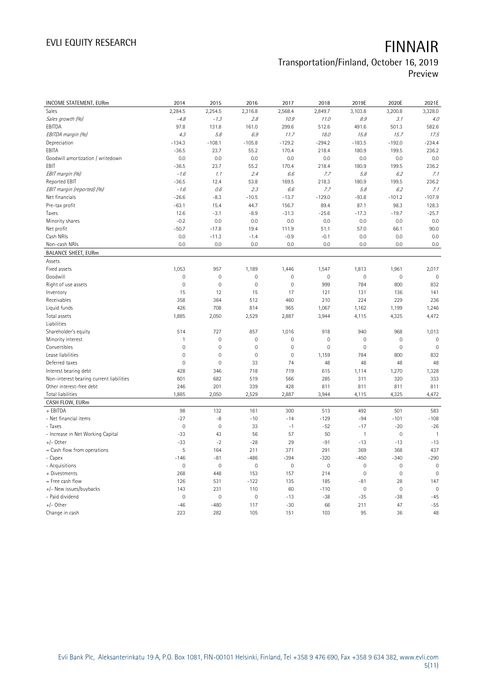# EVLI EQUITY RESEARCH **FINNAIR**

# Transportation/Finland, October 16, 2019

Preview

| INCOME STATEMENT, EURm                   | 2014                | 2015        | 2016                | 2017                | 2018        | 2019E               | 2020E       | 2021E          |
|------------------------------------------|---------------------|-------------|---------------------|---------------------|-------------|---------------------|-------------|----------------|
| <b>Sales</b>                             | 2,284.5             | 2,254.5     | 2,316.8             | 2,568.4             | 2,849.7     | 3,103.8             | 3,200.8     | 3,328.0        |
| Sales growth (%)                         | $-4.8$              | $-1.3$      | 2.8                 | 10.9                | 11.0        | 8.9                 | 3.1         | 4.0            |
| EBITDA                                   | 97.8                | 131.8       | 161.0               | 299.6               | 512.6       | 491.6               | 501.3       | 582.6          |
| EBITDA margin (%)                        | 4.3                 | 5.8         | 6.9                 | 11.7                | 18.0        | 15.8                | 15.7        | 17.5           |
| Depreciation                             | $-134.3$            | $-108.1$    | $-105.8$            | $-129.2$            | $-294.2$    | $-183.5$            | $-192.0$    | $-234.4$       |
| EBITA                                    | $-36.5$             | 23.7        | 55.2                | 170.4               | 218.4       | 180.9               | 199.5       | 236.2          |
| Goodwill amortization / writedown        | 0.0                 | 0.0         | 0.0                 | 0.0                 | 0.0         | 0.0                 | 0.0         | 0.0            |
| EBIT                                     | $-36.5$             | 23.7        | 55.2                | 170.4               | 218.4       | 180.9               | 199.5       | 236.2          |
| EBIT margin (%)                          | $-1.6$              | 1.1         | 2.4                 | 6.6                 | 7.7         | 5.8                 | 6.2         | 7.1            |
| Reported EBIT                            | $-36.5$             | 12.4        | 53.8                | 169.5               | 218.3       | 180.9               | 199.5       | 236.2          |
| EBIT margin (reported) (%)               | $-1.6$              | 0.6         | 2.3                 | 6.6                 | 7.7         | 5.8                 | 6.2         | 7.1            |
| Net financials                           | $-26.6$             | $-8.3$      | $-10.5$             | $-13.7$             | $-129.0$    | $-93.8$             | $-101.2$    | $-107.9$       |
| Pre-tax profit                           | $-63.1$             | 15.4        | 44.7                | 156.7               | 89.4        | 87.1                | 98.3        | 128.3          |
| Taxes                                    | 12.6                | $-3.1$      | $-8.9$              | $-31.3$             | $-25.6$     | $-17.3$             | $-19.7$     | $-25.7$        |
| Minority shares                          | $-0.2$              | 0.0         | 0.0                 | 0.0                 | 0.0         | 0.0                 | 0.0         | 0.0            |
| Net profit                               | $-50.7$             | $-17.8$     | 19.4                | 111.9               | 51.1        | 57.0                | 66.1        | 90.0           |
| Cash NRIs                                | 0.0                 | $-11.3$     | $-1.4$              | $-0.9$              | $-0.1$      | 0.0                 | 0.0         | 0.0            |
| Non-cash NRIs                            | 0.0                 | 0.0         | 0.0                 | 0.0                 | 0.0         | 0.0                 | 0.0         | 0.0            |
| <b>BALANCE SHEET, EURm</b>               |                     |             |                     |                     |             |                     |             |                |
| Assets                                   |                     |             |                     |                     |             |                     |             |                |
| Fixed assets                             | 1,053               | 957         | 1,189               | 1,446               | 1,547       | 1,813               | 1,961       | 2,017          |
| Goodwill                                 | $\mathsf{O}\xspace$ | $\mathbf 0$ | 0                   | $\mathsf{O}\xspace$ | $\mathbf 0$ | $\mathsf{O}\xspace$ | $\mathbf 0$ | $\mathbf 0$    |
| Right of use assets                      | $\mathsf{O}\xspace$ | $\mathbf 0$ | $\overline{0}$      | $\mathbf 0$         | 999         | 784                 | 800         | 832            |
| Inventory                                | 15                  | 12          | 15                  | 17                  | 121         | 131                 | 136         | 141            |
| Receivables                              | 358                 | 364         | 512                 | 460                 | 210         | 224                 | 229         | 236            |
| Liquid funds                             | 426                 | 708         | 814                 | 965                 | 1,067       | 1,162               | 1,199       | 1,246          |
| Total assets                             | 1,885               | 2,050       | 2,529               | 2,887               | 3,944       | 4,115               | 4,325       | 4,472          |
| Liabilities                              |                     |             |                     |                     |             |                     |             |                |
| Shareholder's equity                     | 514                 | 727         | 857                 | 1,016               | 918         | 940                 | 968         | 1,013          |
| Minority interest                        | $\mathbf{1}$        | $\mathbf 0$ | 0                   | $\mathsf{O}\xspace$ | $\mathbf 0$ | $\mathsf{O}\xspace$ | $\mathbf 0$ | $\mathbf 0$    |
| Convertibles                             | 0                   | $\mathbf 0$ | $\mathsf{O}\xspace$ | $\mathsf{O}\xspace$ | $\mathbf 0$ | $\mathsf{O}\xspace$ | $\mathbf 0$ | $\mathbf 0$    |
| Lease liabilities                        | $\mathsf{O}\xspace$ | $\mathbf 0$ | $\overline{0}$      | $\mathbf 0$         | 1,159       | 784                 | 800         | 832            |
| Deferred taxes                           | $\mathsf{O}\xspace$ | $\mathbf 0$ | 33                  | 74                  | 48          | 48                  | 48          | 48             |
| Interest bearing debt                    | 428                 | 346         | 718                 | 719                 | 615         | 1,114               | 1,270       | 1,328          |
| Non-interest bearing current liabilities | 601                 | 682         | 519                 | 566                 | 285         | 311                 | 320         | 333            |
| Other interest-free debt                 | 246                 | 201         | 339                 | 428                 | 811         | 811                 | 811         | 811            |
| Total liabilities                        | 1,885               | 2,050       | 2,529               | 2,887               | 3,944       | 4,115               | 4,325       | 4,472          |
| CASH FLOW, EURm                          |                     |             |                     |                     |             |                     |             |                |
| + EBITDA                                 | 98                  | 132         | 161                 | 300                 | 513         | 492                 | 501         | 583            |
| - Net financial items                    | $-27$               | -8          | $-10$               | $-14$               | $-129$      | $-94$               | $-101$      | $-108$         |
| - Taxes                                  | $\mathsf{O}\xspace$ | $\mathbf 0$ | 33                  | $-1$                | $-52$       | $-17$               | $-20$       | $-26$          |
| - Increase in Net Working Capital        | $-33$               | 43          | 56                  | 57                  | 50          | $\mathbf{1}$        | $\mathbf 0$ | $\overline{1}$ |
| $+/-$ Other                              | $-33$               | $-2$        | $-28$               | 29                  | $-91$       | $-13$               | $-13$       | $-13$          |
| = Cash flow from operations              | 5                   | 164         | 211                 | 371                 | 291         | 369                 | 368         | 437            |
| - Capex                                  | $-146$              | $-81$       | $-486$              | $-394$              | $-320$      | $-450$              | $-340$      | $-290$         |
| - Acquisitions                           | 0                   | $\mathbb O$ | $\mathsf{O}\xspace$ | $\mathbb O$         | $\mathbb O$ | $\mathbb O$         | $\mathbb O$ | $\mathbf 0$    |
| + Divestments                            | 268                 | 448         | 153                 | 157                 | 214         | $\mathsf{O}\xspace$ | $\mathbf 0$ | $\mathbf 0$    |
| = Free cash flow                         | 126                 | 531         | $-122$              | 135                 | 185         | $-81$               | 28          | 147            |
| +/- New issues/buybacks                  | 143                 | 231         | 110                 | 60                  | $-110$      | $\mathsf{O}\xspace$ | $\mathbf 0$ | $\mathbf 0$    |
| - Paid dividend                          | $\mathsf{O}\xspace$ | $\mathbf 0$ | $\mathbf 0$         | $-13$               | $-38$       | $-35$               | $-38$       | $-45$          |
| $+/-$ Other                              | $-46$               | $-480$      | 117                 | $-30$               | 66          | 211                 | 47          | $-55$          |
| Change in cash                           | 223                 | 282         | 105                 | 151                 | 103         | 95                  | 36          | 48             |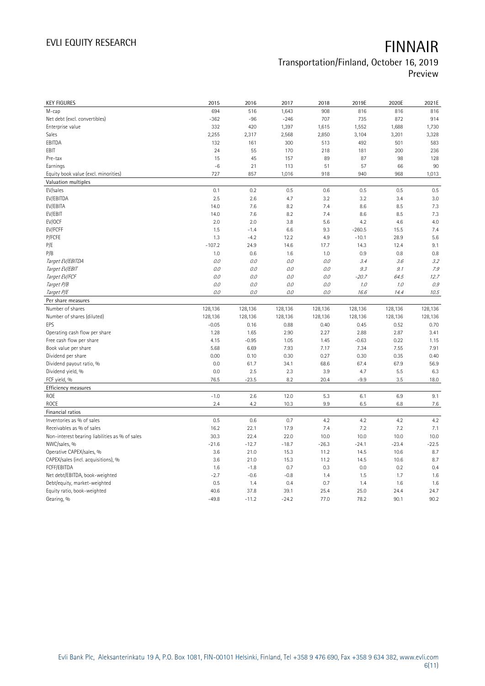# EVLI EQUITY RESEARCH **FINNAIR**

## Transportation/Finland, October 16, 2019 Preview

| <b>KEY FIGURES</b>                             | 2015            | 2016            | 2017            | 2018         | 2019E        | 2020E        | 2021E        |
|------------------------------------------------|-----------------|-----------------|-----------------|--------------|--------------|--------------|--------------|
| M-cap                                          | 694             | 516             | 1,643           | 908          | 816          | 816          | 816          |
| Net debt (excl. convertibles)                  | $-362$          | $-96$           | $-246$          | 707          | 735          | 872          | 914          |
| Enterprise value                               | 332             | 420             | 1,397           | 1,615        | 1,552        | 1,688        | 1,730        |
| Sales                                          | 2,255           | 2,317           | 2,568           | 2,850        | 3,104        | 3,201        | 3,328        |
| EBITDA                                         | 132             | 161             | 300             | 513          | 492          | 501          | 583          |
| EBIT                                           | 24              | 55              | 170             | 218          | 181          | 200          | 236          |
| Pre-tax                                        | 15              | 45              | 157             | 89           | 87           | 98           | 128          |
| Earnings                                       | $-6$            | 21              | 113             | 51           | 57           | 66           | 90           |
| Equity book value (excl. minorities)           | 727             | 857             | 1,016           | 918          | 940          | 968          | 1,013        |
| Valuation multiples                            |                 |                 |                 |              |              |              |              |
| EV/sales                                       | 0.1             | 0.2             | 0.5             | 0.6          | 0.5          | 0.5          | 0.5          |
| EV/EBITDA                                      | 2.5             | 2.6             | 4.7             | 3.2          | 3.2          | 3.4          | 3.0          |
| EV/EBITA                                       | 14.0            | 7.6             | 8.2             | 7.4          | 8.6          | 8.5          | 7.3          |
| EV/EBIT                                        | 14.0            | 7.6             | 8.2             | 7.4          | 8.6          | 8.5          | 7.3          |
| EV/OCF                                         | 2.0             | 2.0             | 3.8             | 5.6          | 4.2          | 4.6          | 4.0          |
| EV/FCFF                                        | 1.5             | $-1.4$          | 6.6             | 9.3          | $-260.5$     | 15.5         | 7.4          |
| P/FCFE                                         | 1.3             | $-4.2$          | 12.2            | 4.9          | $-10.1$      | 28.9         | 5.6          |
| P/E                                            | $-107.2$        | 24.9            | 14.6            | 17.7         | 14.3         | 12.4         | 9.1          |
| P/B                                            | 1.0             | 0.6             | 1.6             | 1.0          | 0.9          | 0.8          | 0.8          |
| Target EV/EBITDA                               | 0.0             | 0.0             | 0.0             | 0.0          | 3.4          | 3.6          | 3.2          |
| Target EV/EBIT                                 | 0.0             | 0.0             | 0.0             | 0.0          | 9.3          | 9.1          | 7.9          |
| Target EV/FCF                                  | 0.0             | 0.0             | 0.0             | 0.0          | $-20.7$      | 64.5         | 12.7         |
| Target P/B                                     | $O.O$           | 0.0             | 0.0             | 0.0          | 1.0          | 1.0          | 0.9          |
| Target P/E                                     | $0.0$           | 0.0             | 0.0             | $O.O$        | 16.6         | 14.4         | 10.5         |
| Per share measures                             |                 |                 |                 |              |              |              |              |
|                                                |                 |                 |                 |              |              |              |              |
|                                                |                 |                 |                 |              |              |              |              |
| Number of shares                               | 128,136         | 128,136         | 128,136         | 128,136      | 128,136      | 128,136      | 128,136      |
| Number of shares (diluted)                     | 128,136         | 128,136         | 128,136         | 128,136      | 128,136      | 128,136      | 128,136      |
| EPS                                            | $-0.05$         | 0.16            | 0.88            | 0.40         | 0.45         | 0.52         | 0.70         |
| Operating cash flow per share                  | 1.28            | 1.65            | 2.90            | 2.27         | 2.88         | 2.87         | 3.41         |
| Free cash flow per share                       | 4.15            | $-0.95$         | 1.05            | 1.45         | $-0.63$      | 0.22         | 1.15         |
| Book value per share                           | 5.68            | 6.69            | 7.93            | 7.17         | 7.34         | 7.55         | 7.91         |
| Dividend per share                             | 0.00            | 0.10            | 0.30            | 0.27         | 0.30         | 0.35         | 0.40         |
| Dividend payout ratio, %                       | 0.0             | 61.7            | 34.1            | 68.6         | 67.4         | 67.9         | 56.9         |
| Dividend yield, %                              | 0.0             | 2.5             | 2.3             | 3.9          | 4.7          | 5.5          | 6.3          |
| FCF yield, %                                   | 76.5            | $-23.5$         | 8.2             | 20.4         | $-9.9$       | 3.5          | 18.0         |
| Efficiency measures                            |                 |                 |                 |              |              |              |              |
| <b>ROE</b>                                     | $-1.0$          | 2.6             | 12.0            | 5.3          | 6.1          | 6.9          | 9.1          |
| <b>ROCE</b>                                    | 2.4             | 4.2             | 10.3            | 9.9          | 6.5          | 6.8          | 7.6          |
| Financial ratios                               |                 |                 |                 |              |              |              |              |
| Inventories as % of sales                      | 0.5             | 0.6             | 0.7             | 4.2          | 4.2          | 4.2          | 4.2          |
| Receivables as % of sales                      | 16.2            | 22.1            | 17.9            | 7.4          | 7.2          | 7.2          | 7.1          |
| Non-interest bearing liabilities as % of sales | 30.3            | 22.4            | 22.0            | 10.0         | 10.0         | 10.0         | 10.0         |
| NWC/sales, %                                   | $-21.6$         | $-12.7$         | $-18.7$         | $-26.3$      | $-24.1$      | $-23.4$      | $-22.5$      |
| Operative CAPEX/sales, %                       | 3.6             | 21.0            | 15.3            | 11.2         | 14.5         | 10.6         | 8.7          |
| CAPEX/sales (incl. acquisitions), %            | 3.6             | 21.0            | 15.3            | 11.2         | 14.5         | 10.6         | 8.7          |
| FCFF/EBITDA                                    | 1.6             | $-1.8$          | 0.7             | 0.3          | 0.0          | 0.2          | 0.4          |
| Net debt/EBITDA, book-weighted                 | $-2.7$          | $-0.6$          | $-0.8$          | 1.4          | 1.5          | 1.7          | 1.6          |
| Debt/equity, market-weighted                   | 0.5             | 1.4             | 0.4             | 0.7          | 1.4          | 1.6          | 1.6          |
| Equity ratio, book-weighted<br>Gearing, %      | 40.6<br>$-49.8$ | 37.8<br>$-11.2$ | 39.1<br>$-24.2$ | 25.4<br>77.0 | 25.0<br>78.2 | 24.4<br>90.1 | 24.7<br>90.2 |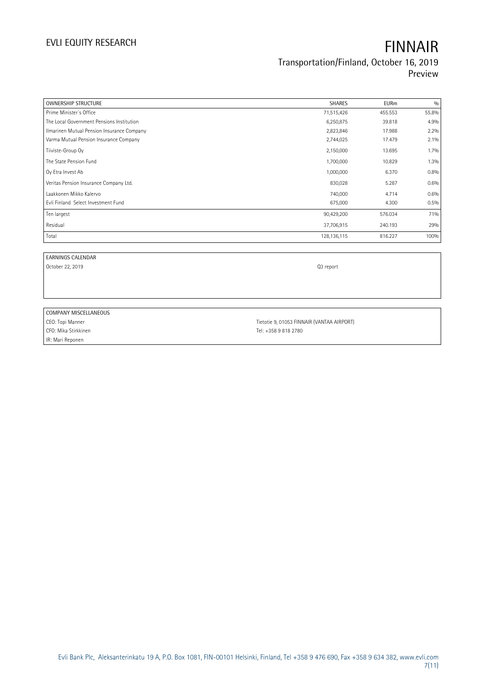| <b>OWNERSHIP STRUCTURE</b>                 | <b>SHARES</b> | <b>EURm</b> | 0/0     |
|--------------------------------------------|---------------|-------------|---------|
| Prime Minister's Office                    | 71,515,426    | 455.553     | 55.8%   |
| The Local Government Pensions Institution  | 6,250,875     | 39.818      | 4.9%    |
| Ilmarinen Mutual Pension Insurance Company | 2,823,846     | 17.988      | 2.2%    |
| Varma Mutual Pension Insurance Company     | 2,744,025     | 17.479      | $2.1\%$ |
| Tiiviste-Group Oy                          | 2,150,000     | 13.695      | $1.7\%$ |
| The State Pension Fund                     | 1,700,000     | 10.829      | 1.3%    |
| Oy Etra Invest Ab                          | 1,000,000     | 6.370       | 0.8%    |
| Veritas Pension Insurance Company Ltd.     | 830,028       | 5.287       | 0.6%    |
| Laakkonen Mikko Kalervo                    | 740,000       | 4.714       | 0.6%    |
| Evli Finland Select Investment Fund        | 675,000       | 4.300       | 0.5%    |
| Ten largest                                | 90,429,200    | 576.034     | 71%     |
| Residual                                   | 37,706,915    | 240.193     | 29%     |
| Total                                      | 128,136,115   | 816.227     | 100%    |

EARNINGS CALENDAR

October 22, 2019 **Q3** report

### COMPANY MISCELLANEOUS

CFO: Mika Stirkkinen Tel: +358 9 818 2780 IR: Mari Reponen

CEO: Topi Manner Tietotie 9, 01053 FINNAIR (VANTAA AIRPORT)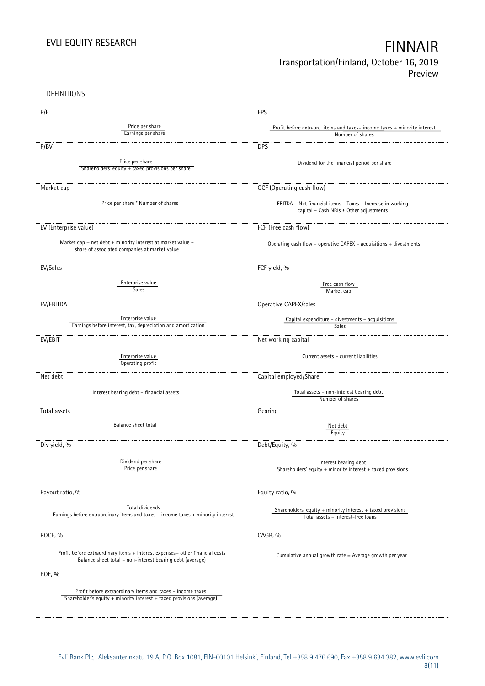DEFINITIONS

| P/E                                                                                                 | EPS                                                                                                   |
|-----------------------------------------------------------------------------------------------------|-------------------------------------------------------------------------------------------------------|
|                                                                                                     |                                                                                                       |
| Price per share<br>Earnings per share                                                               | Profit before extraord. items and taxes-income taxes + minority interest<br>Number of shares          |
|                                                                                                     |                                                                                                       |
| P/BV                                                                                                | <b>DPS</b>                                                                                            |
|                                                                                                     |                                                                                                       |
| Price per share                                                                                     | Dividend for the financial period per share                                                           |
| Shareholders' equity + taxed provisions per share                                                   |                                                                                                       |
|                                                                                                     |                                                                                                       |
| Market cap                                                                                          | OCF (Operating cash flow)                                                                             |
|                                                                                                     |                                                                                                       |
| Price per share * Number of shares                                                                  | EBITDA - Net financial items - Taxes - Increase in working<br>capital - Cash NRIs ± Other adjustments |
|                                                                                                     |                                                                                                       |
| EV (Enterprise value)                                                                               | FCF (Free cash flow)                                                                                  |
|                                                                                                     |                                                                                                       |
| Market cap + net debt + minority interest at market value -                                         | Operating cash flow - operative CAPEX - acquisitions + divestments                                    |
| share of associated companies at market value                                                       |                                                                                                       |
|                                                                                                     |                                                                                                       |
| EV/Sales                                                                                            | FCF yield, %                                                                                          |
|                                                                                                     |                                                                                                       |
| Enterprise value                                                                                    | Free cash flow                                                                                        |
| <b>Sales</b>                                                                                        | Market cap                                                                                            |
| EV/EBITDA                                                                                           | Operative CAPEX/sales                                                                                 |
|                                                                                                     |                                                                                                       |
| Enterprise value                                                                                    | Capital expenditure - divestments - acquisitions                                                      |
| Earnings before interest, tax, depreciation and amortization                                        | <b>Sales</b>                                                                                          |
| EV/EBIT                                                                                             | Net working capital                                                                                   |
|                                                                                                     |                                                                                                       |
| Enterprise value                                                                                    | Current assets - current liabilities                                                                  |
| Operating profit                                                                                    |                                                                                                       |
|                                                                                                     |                                                                                                       |
| Net debt                                                                                            | Capital employed/Share                                                                                |
| Interest bearing debt - financial assets                                                            | Total assets - non-interest bearing debt                                                              |
|                                                                                                     | Number of shares                                                                                      |
|                                                                                                     |                                                                                                       |
| Total assets                                                                                        | Gearing                                                                                               |
| Balance sheet total                                                                                 | Net debt                                                                                              |
|                                                                                                     | Equity                                                                                                |
| Div yield, %                                                                                        | Debt/Equity, %                                                                                        |
|                                                                                                     |                                                                                                       |
| Dividend per share                                                                                  |                                                                                                       |
| Price per snare                                                                                     | Interest bearing debt<br>Shareholders' equity + minority interest + taxed provisions                  |
|                                                                                                     |                                                                                                       |
|                                                                                                     |                                                                                                       |
| Payout ratio, %                                                                                     | Equity ratio, %                                                                                       |
|                                                                                                     |                                                                                                       |
| Total dividends<br>Earnings before extraordinary items and taxes - income taxes + minority interest | Shareholders' equity $+$ minority interest $+$ taxed provisions                                       |
|                                                                                                     | Total assets - interest-free loans                                                                    |
|                                                                                                     |                                                                                                       |
| ROCE, %                                                                                             | CAGR, %                                                                                               |
|                                                                                                     |                                                                                                       |
| Profit before extraordinary items + interest expenses+ other financial costs                        | Cumulative annual growth rate = Average growth per year                                               |
| Balance sheet total - non-interest bearing debt (average)                                           |                                                                                                       |
| ROE, %                                                                                              |                                                                                                       |
|                                                                                                     |                                                                                                       |
| Profit before extraordinary items and taxes - income taxes                                          |                                                                                                       |
| Shareholder's equity + minority interest + taxed provisions (average)                               |                                                                                                       |
|                                                                                                     |                                                                                                       |
|                                                                                                     |                                                                                                       |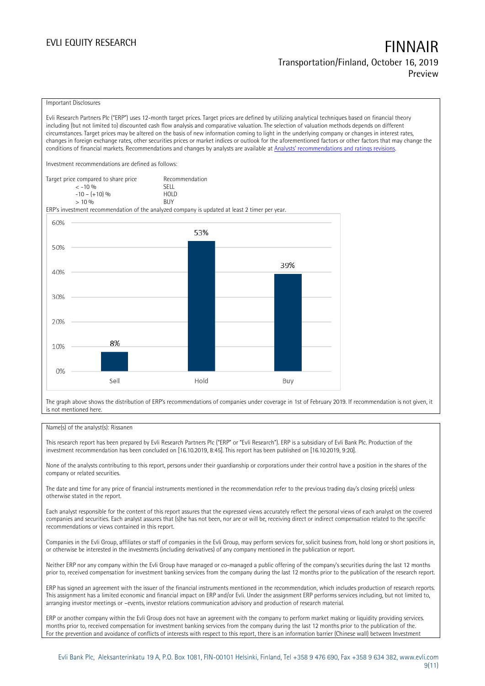### Important Disclosures

Evli Research Partners Plc ("ERP") uses 12-month target prices. Target prices are defined by utilizing analytical techniques based on financial theory including (but not limited to) discounted cash flow analysis and comparative valuation. The selection of valuation methods depends on different circumstances. Target prices may be altered on the basis of new information coming to light in the underlying company or changes in interest rates, changes in foreign exchange rates, other securities prices or market indices or outlook for the aforementioned factors or other factors that may change the conditions of financial markets. Recommendations and changes by analysts are available at [Analysts' recommendations and ratings revisions](https://research.evli.com/JasperAllModels.action?authParam=key;461&authParam=x;G3rNagWrtf7K&authType=3).

Investment recommendations are defined as follows:

| Target price compared to share price | Recommendation                |
|--------------------------------------|-------------------------------|
| $<-10.96$                            | <b>SFII</b>                   |
| $-10 - (+10)$ %                      | H <sub>O</sub> I <sub>D</sub> |
| $> 10\%$                             | <b>BUY</b>                    |

ERP's investment recommendation of the analyzed company is updated at least 2 timer per year.



The graph above shows the distribution of ERP's recommendations of companies under coverage in 1st of February 2019. If recommendation is not given, it is not mentioned here.

### Name(s) of the analyst(s): Rissanen

This research report has been prepared by Evli Research Partners Plc ("ERP" or "Evli Research"). ERP is a subsidiary of Evli Bank Plc. Production of the investment recommendation has been concluded on [16.10.2019, 8:45]. This report has been published on [16.10.2019, 9:20].

None of the analysts contributing to this report, persons under their guardianship or corporations under their control have a position in the shares of the company or related securities.

The date and time for any price of financial instruments mentioned in the recommendation refer to the previous trading day's closing price(s) unless otherwise stated in the report.

Each analyst responsible for the content of this report assures that the expressed views accurately reflect the personal views of each analyst on the covered companies and securities. Each analyst assures that (s)he has not been, nor are or will be, receiving direct or indirect compensation related to the specific recommendations or views contained in this report.

Companies in the Evli Group, affiliates or staff of companies in the Evli Group, may perform services for, solicit business from, hold long or short positions in, or otherwise be interested in the investments (including derivatives) of any company mentioned in the publication or report.

Neither ERP nor any company within the Evli Group have managed or co-managed a public offering of the company's securities during the last 12 months prior to, received compensation for investment banking services from the company during the last 12 months prior to the publication of the research report.

ERP has signed an agreement with the issuer of the financial instruments mentioned in the recommendation, which includes production of research reports. This assignment has a limited economic and financial impact on ERP and/or Evli. Under the assignment ERP performs services including, but not limited to, arranging investor meetings or –events, investor relations communication advisory and production of research material.

ERP or another company within the Evli Group does not have an agreement with the company to perform market making or liquidity providing services. months prior to, received compensation for investment banking services from the company during the last 12 months prior to the publication of the. For the prevention and avoidance of conflicts of interests with respect to this report, there is an information barrier (Chinese wall) between Investment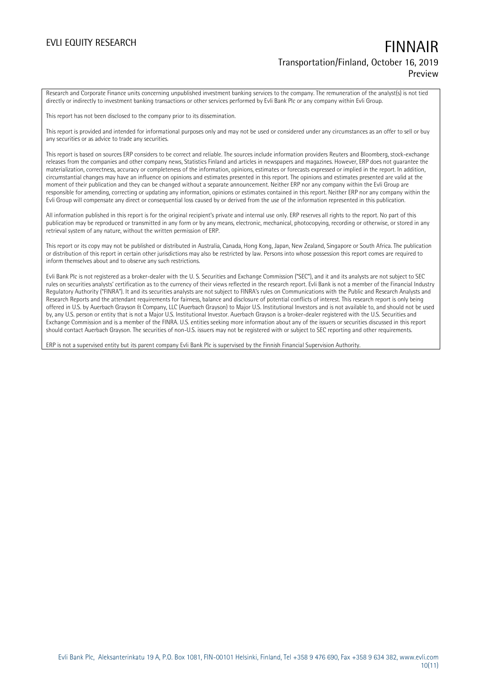Research and Corporate Finance units concerning unpublished investment banking services to the company. The remuneration of the analyst(s) is not tied directly or indirectly to investment banking transactions or other services performed by Evli Bank Plc or any company within Evli Group.

This report has not been disclosed to the company prior to its dissemination.

This report is provided and intended for informational purposes only and may not be used or considered under any circumstances as an offer to sell or buy any securities or as advice to trade any securities.

This report is based on sources ERP considers to be correct and reliable. The sources include information providers Reuters and Bloomberg, stock-exchange releases from the companies and other company news, Statistics Finland and articles in newspapers and magazines. However, ERP does not guarantee the materialization, correctness, accuracy or completeness of the information, opinions, estimates or forecasts expressed or implied in the report. In addition, circumstantial changes may have an influence on opinions and estimates presented in this report. The opinions and estimates presented are valid at the moment of their publication and they can be changed without a separate announcement. Neither ERP nor any company within the Evli Group are responsible for amending, correcting or updating any information, opinions or estimates contained in this report. Neither ERP nor any company within the Evli Group will compensate any direct or consequential loss caused by or derived from the use of the information represented in this publication.

All information published in this report is for the original recipient's private and internal use only. ERP reserves all rights to the report. No part of this publication may be reproduced or transmitted in any form or by any means, electronic, mechanical, photocopying, recording or otherwise, or stored in any retrieval system of any nature, without the written permission of ERP.

This report or its copy may not be published or distributed in Australia, Canada, Hong Kong, Japan, New Zealand, Singapore or South Africa. The publication or distribution of this report in certain other jurisdictions may also be restricted by law. Persons into whose possession this report comes are required to inform themselves about and to observe any such restrictions.

Evli Bank Plc is not registered as a broker-dealer with the U. S. Securities and Exchange Commission ("SEC"), and it and its analysts are not subject to SEC rules on securities analysts' certification as to the currency of their views reflected in the research report. Evli Bank is not a member of the Financial Industry Regulatory Authority ("FINRA"). It and its securities analysts are not subject to FINRA's rules on Communications with the Public and Research Analysts and Research Reports and the attendant requirements for fairness, balance and disclosure of potential conflicts of interest. This research report is only being offered in U.S. by Auerbach Grayson & Company, LLC (Auerbach Grayson) to Major U.S. Institutional Investors and is not available to, and should not be used by, any U.S. person or entity that is not a Major U.S. Institutional Investor. Auerbach Grayson is a broker-dealer registered with the U.S. Securities and Exchange Commission and is a member of the FINRA. U.S. entities seeking more information about any of the issuers or securities discussed in this report should contact Auerbach Grayson. The securities of non-U.S. issuers may not be registered with or subject to SEC reporting and other requirements.

ERP is not a supervised entity but its parent company Evli Bank Plc is supervised by the Finnish Financial Supervision Authority.